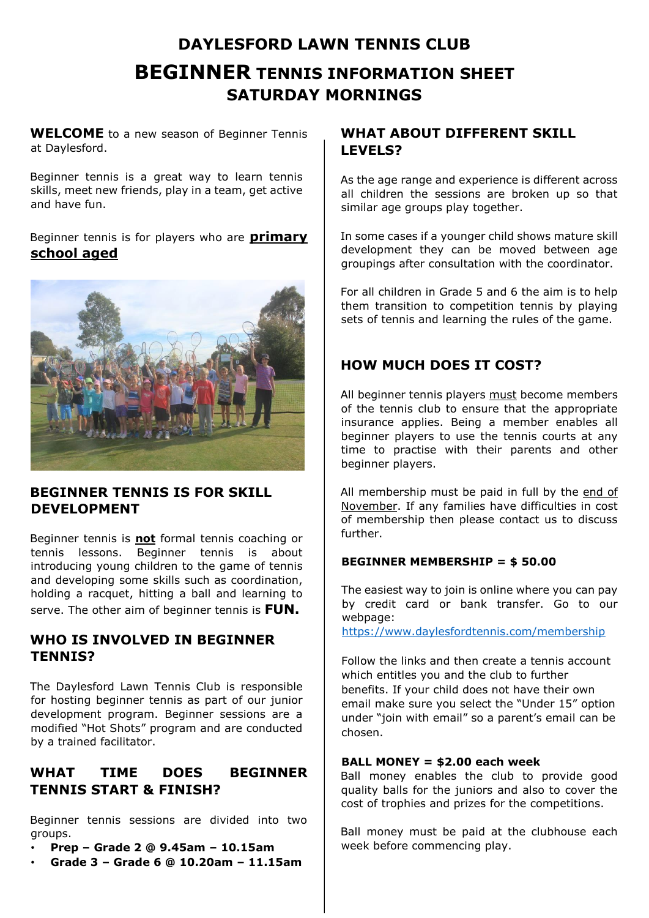# **DAYLESFORD LAWN TENNIS CLUB BEGINNER TENNIS INFORMATION SHEET SATURDAY MORNINGS**

**WELCOME** to a new season of Beginner Tennis at Daylesford.

Beginner tennis is a great way to learn tennis skills, meet new friends, play in a team, get active and have fun.

Beginner tennis is for players who are **primary school aged**



# **BEGINNER TENNIS IS FOR SKILL DEVELOPMENT**

Beginner tennis is **not** formal tennis coaching or tennis lessons. Beginner tennis is about introducing young children to the game of tennis and developing some skills such as coordination, holding a racquet, hitting a ball and learning to serve. The other aim of beginner tennis is **FUN.**

# **WHO IS INVOLVED IN BEGINNER TENNIS?**

The Daylesford Lawn Tennis Club is responsible for hosting beginner tennis as part of our junior development program. Beginner sessions are a modified "Hot Shots" program and are conducted by a trained facilitator.

# **WHAT TIME DOES BEGINNER TENNIS START & FINISH?**

Beginner tennis sessions are divided into two groups.

- **Prep – Grade 2 @ 9.45am – 10.15am**
- **Grade 3 – Grade 6 @ 10.20am – 11.15am**

# **WHAT ABOUT DIFFERENT SKILL LEVELS?**

As the age range and experience is different across all children the sessions are broken up so that similar age groups play together.

In some cases if a younger child shows mature skill development they can be moved between age groupings after consultation with the coordinator.

For all children in Grade 5 and 6 the aim is to help them transition to competition tennis by playing sets of tennis and learning the rules of the game.

## **HOW MUCH DOES IT COST?**

All beginner tennis players must become members of the tennis club to ensure that the appropriate insurance applies. Being a member enables all beginner players to use the tennis courts at any time to practise with their parents and other beginner players.

All membership must be paid in full by the end of November. If any families have difficulties in cost of membership then please contact us to discuss further.

### **BEGINNER MEMBERSHIP = \$ 50.00**

The easiest way to join is online where you can pay by credit card or bank transfer. Go to our webpage:

<https://www.daylesfordtennis.com/membership>

Follow the links and then create a tennis account which entitles you and the club to further benefits. If your child does not have their own email make sure you select the "Under 15" option under "join with email" so a parent's email can be chosen.

#### **BALL MONEY = \$2.00 each week**

Ball money enables the club to provide good quality balls for the juniors and also to cover the cost of trophies and prizes for the competitions.

Ball money must be paid at the clubhouse each week before commencing play.